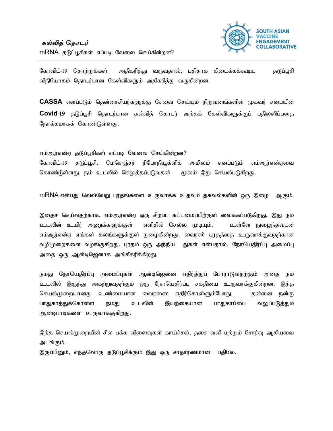

கோவிட்-19 தொற்றுக்கள் அதிகரித்து வருவதால், புதிதாக கிடைக்கக்கூடிய தடுப்பூசி விநியோகம் தொடர்பான கேள்விகளும் அதிகரித்து வருகின்றன.

 $CASSA$  எனப்படும் தென்னாசியர்களுக்கு சேவை செய்யும் நிறுவனங்களின் முகவர் சபையின் Covid-19 தடுப்பூசி தொடர்பான கல்வித் தொடர் அந்தக் கேள்விகளுக்குப் பதிலளிப்பதை நோக்கமாகக் கொண்டுள்ளது.

எம்ஆர்என்ஏ தடுப்பூசிகள் எப்படி வேலை செய்கின்றன?

அமிலம் கோவிட்-19 தடுப்பூசி, மெசெஞ்சர் ரிபோநியூக்ளிக் எனப்படும் எம்ஆர்என்ஏவை கொண்டுள்ளது. நம் உடலில் செலுத்தப்படுவதன் மூலம் இது செயல்படுகிறது.

MRNA என்பது வெவ்வேறு புரதங்களை உருவாக்க உதவும் தகவல்களின் ஒரு இழை ஆகும்.

இதைச் செய்வதற்காக, எம்ஆர்என்ஏ ஒரு சிறப்பு கட்டமைப்பிற்குள் வைக்கப்படுகிறது, இது நம் உடலின் உயிர் அணுக்களுக்குள் எளிதில் செல்ல முடியும். உள்ளே நுழைந்தவுடன் எம்ஆர்என்ஏ எங்கள் கலங்களுக்குள் நுழைகின்றது. வைரஸ் புரதத்தை உருவாக்குவதற்கான வழிமுறைகளை வழங்குகிறது. புரதம் ஒரு அந்நிய துகள் என்பதால், நோயெதிர்ப்பு அமைப்பு அதை ஒரு ஆன்டிஜெனாக அங்கீகரிக்கிறது.

நமது நோயெதிர்ப்பு அமைப்புகள் ஆன்டிஜெனை எதிர்த்துப் போராடுவதற்கும் அதை நம் உடலில் இருந்து அகற்றுவதற்கும் ஒரு நோயெதிர்ப்பு சக்தியை உருவாக்குகின்றன. இந்த செயல்முறையானது உண்மையான வைரஸை எதிர்கொள்ளும்போது தன்னை நன்கு பாதுகாத்துக்கொள்ள உடலின் இயற்கையான பாதுகாப்பை நமது வலுப்படுத்தும் ஆன்டிபாடிகளை உருவாக்குகிறது.

இந்த செயல்முறையின் சில பக்க விளைவுகள் காய்ச்சல், தசை வலி மற்றும் சோர்வு ஆகியவை அடங்கும்.

இருப்பினும், எந்தவொரு தடுப்பூசிக்கும் இது ஒரு சாதாரணமான பதிலே.